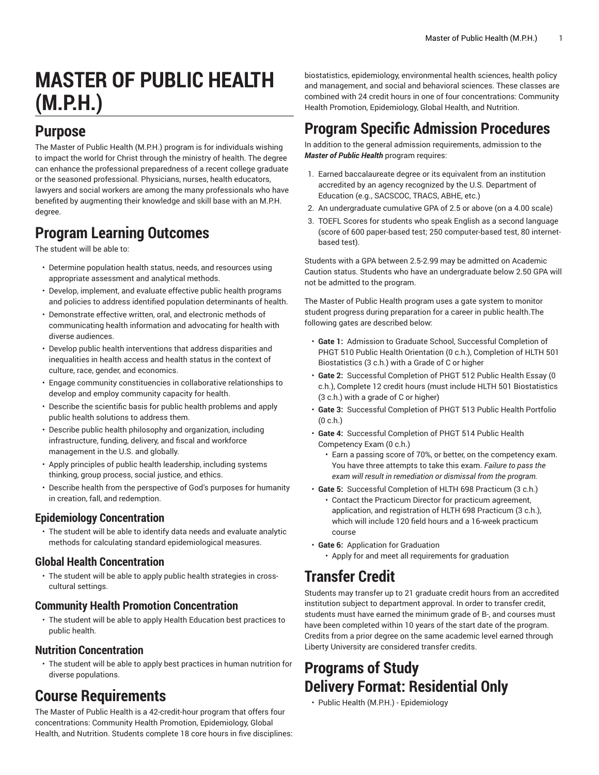# **MASTER OF PUBLIC HEALTH (M.P.H.)**

#### **Purpose**

The Master of Public Health (M.P.H.) program is for individuals wishing to impact the world for Christ through the ministry of health. The degree can enhance the professional preparedness of a recent college graduate or the seasoned professional. Physicians, nurses, health educators, lawyers and social workers are among the many professionals who have benefited by augmenting their knowledge and skill base with an M.P.H. degree.

### **Program Learning Outcomes**

The student will be able to:

- Determine population health status, needs, and resources using appropriate assessment and analytical methods.
- Develop, implement, and evaluate effective public health programs and policies to address identified population determinants of health.
- Demonstrate effective written, oral, and electronic methods of communicating health information and advocating for health with diverse audiences.
- Develop public health interventions that address disparities and inequalities in health access and health status in the context of culture, race, gender, and economics.
- Engage community constituencies in collaborative relationships to develop and employ community capacity for health.
- Describe the scientific basis for public health problems and apply public health solutions to address them.
- Describe public health philosophy and organization, including infrastructure, funding, delivery, and fiscal and workforce management in the U.S. and globally.
- Apply principles of public health leadership, including systems thinking, group process, social justice, and ethics.
- Describe health from the perspective of God's purposes for humanity in creation, fall, and redemption.

#### **Epidemiology Concentration**

• The student will be able to identify data needs and evaluate analytic methods for calculating standard epidemiological measures.

#### **Global Health Concentration**

• The student will be able to apply public health strategies in crosscultural settings.

#### **Community Health Promotion Concentration**

• The student will be able to apply Health Education best practices to public health.

#### **Nutrition Concentration**

• The student will be able to apply best practices in human nutrition for diverse populations.

#### **Course Requirements**

The Master of Public Health is a 42-credit-hour program that offers four concentrations: Community Health Promotion, Epidemiology, Global Health, and Nutrition. Students complete 18 core hours in five disciplines:

biostatistics, epidemiology, environmental health sciences, health policy and management, and social and behavioral sciences. These classes are combined with 24 credit hours in one of four concentrations: Community Health Promotion, Epidemiology, Global Health, and Nutrition.

### **Program Specific Admission Procedures**

In addition to the general admission requirements, admission to the *Master of Public Health* program requires:

- 1. Earned baccalaureate degree or its equivalent from an institution accredited by an agency recognized by the U.S. Department of Education (e.g., SACSCOC, TRACS, ABHE, etc.)
- 2. An undergraduate cumulative GPA of 2.5 or above (on a 4.00 scale)
- 3. TOEFL Scores for students who speak English as a second language (score of 600 paper-based test; 250 computer-based test, 80 internetbased test).

Students with a GPA between 2.5-2.99 may be admitted on Academic Caution status. Students who have an undergraduate below 2.50 GPA will not be admitted to the program.

The Master of Public Health program uses a gate system to monitor student progress during preparation for a career in public health.The following gates are described below:

- **Gate 1:** Admission to Graduate School, Successful Completion of PHGT 510 Public Health Orientation (0 c.h.), Completion of HLTH 501 Biostatistics (3 c.h.) with a Grade of C or higher
- **Gate 2:** Successful Completion of PHGT 512 Public Health Essay (0 c.h.), Complete 12 credit hours (must include HLTH 501 Biostatistics (3 c.h.) with a grade of C or higher)
- **Gate 3:** Successful Completion of PHGT 513 Public Health Portfolio (0 c.h.)
- **Gate 4:** Successful Completion of PHGT 514 Public Health Competency Exam (0 c.h.)
	- Earn a passing score of 70%, or better, on the competency exam. You have three attempts to take this exam. *Failure to pass the exam will result in remediation or dismissal from the program.*
- **Gate 5:** Successful Completion of HLTH 698 Practicum (3 c.h.) • Contact the Practicum Director for practicum agreement, application, and registration of HLTH 698 Practicum (3 c.h.), which will include 120 field hours and a 16-week practicum course
- **Gate 6:** Application for Graduation
	- Apply for and meet all requirements for graduation

### **Transfer Credit**

Students may transfer up to 21 graduate credit hours from an accredited institution subject to department approval. In order to transfer credit, students must have earned the minimum grade of B-, and courses must have been completed within 10 years of the start date of the program. Credits from a prior degree on the same academic level earned through Liberty University are considered transfer credits.

### **Programs of Study Delivery Format: Residential Only**

• Public Health (M.P.H.) - [Epidemiology](https://catalog.liberty.edu/graduate/colleges-schools/health-sciences/public-health-mph/public-health-mph-epidemiology/)